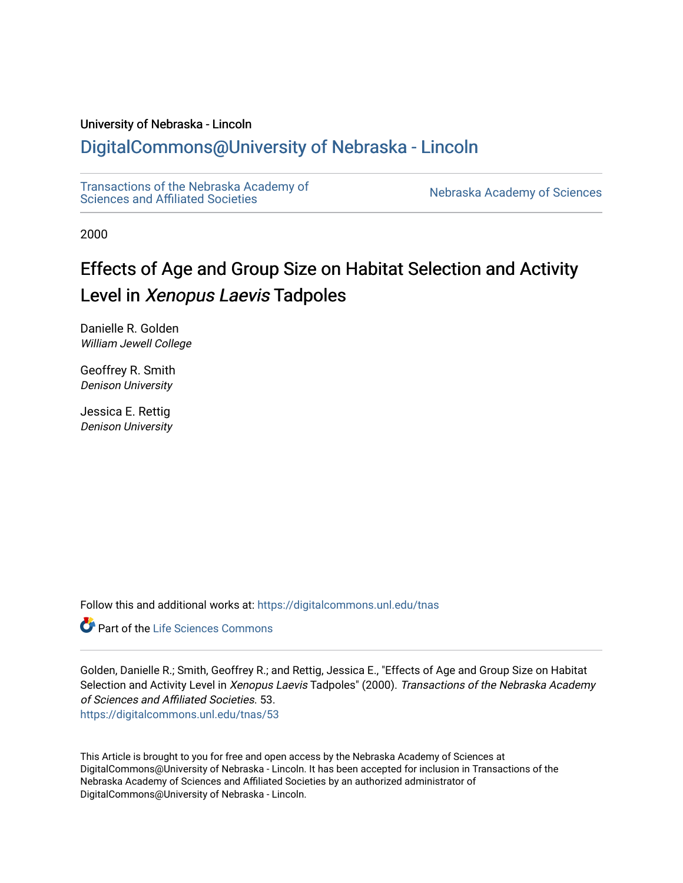# University of Nebraska - Lincoln

# [DigitalCommons@University of Nebraska - Lincoln](https://digitalcommons.unl.edu/)

[Transactions of the Nebraska Academy of](https://digitalcommons.unl.edu/tnas)  Transactions of the Nebraska Academy of Sciences<br>Sciences and Affiliated Societies

2000

# Effects of Age and Group Size on Habitat Selection and Activity Level in Xenopus Laevis Tadpoles

Danielle R. Golden William Jewell College

Geoffrey R. Smith Denison University

Jessica E. Rettig Denison University

Follow this and additional works at: [https://digitalcommons.unl.edu/tnas](https://digitalcommons.unl.edu/tnas?utm_source=digitalcommons.unl.edu%2Ftnas%2F53&utm_medium=PDF&utm_campaign=PDFCoverPages) 

**C** Part of the Life Sciences Commons

Golden, Danielle R.; Smith, Geoffrey R.; and Rettig, Jessica E., "Effects of Age and Group Size on Habitat Selection and Activity Level in Xenopus Laevis Tadpoles" (2000). Transactions of the Nebraska Academy of Sciences and Affiliated Societies. 53. [https://digitalcommons.unl.edu/tnas/53](https://digitalcommons.unl.edu/tnas/53?utm_source=digitalcommons.unl.edu%2Ftnas%2F53&utm_medium=PDF&utm_campaign=PDFCoverPages)

This Article is brought to you for free and open access by the Nebraska Academy of Sciences at DigitalCommons@University of Nebraska - Lincoln. It has been accepted for inclusion in Transactions of the Nebraska Academy of Sciences and Affiliated Societies by an authorized administrator of DigitalCommons@University of Nebraska - Lincoln.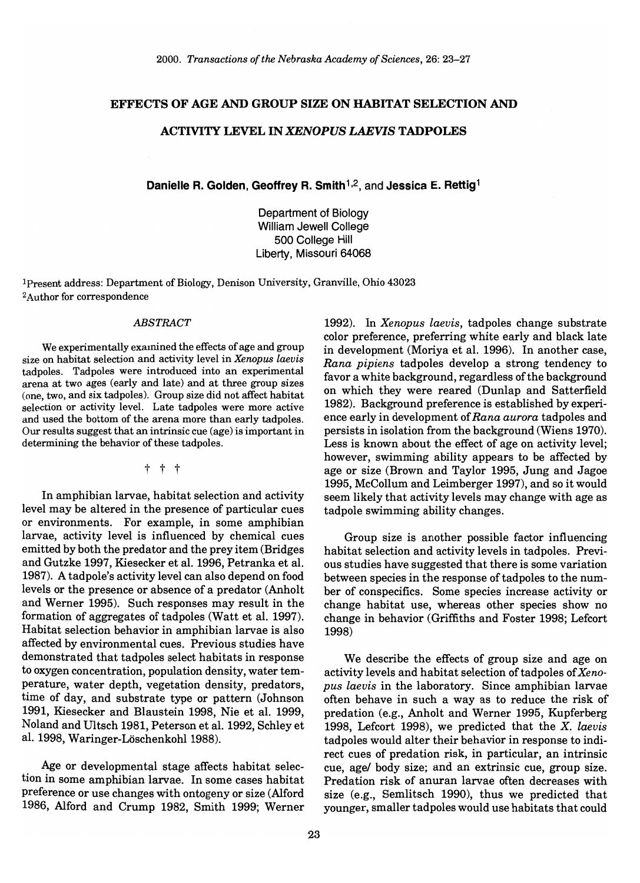#### EFFECTS OF AGE AND GROUP SIZE ON HABITAT SELECTION AND

### ACTIVITY LEVEL IN *XENOPUS LAEVIS* TADPOLES

Danielle R. Golden, Geoffrey R. Smith<sup>1,2</sup>, and Jessica E. Rettig<sup>1</sup>

Department of Biology William Jewell College 500 College Hill Liberty, Missouri 64068

Ipresent address: Department of Biology, Denison University, Granville, Ohio 43023 2Author for correspondence

#### *ABSTRACT*

We experimentally examined the effects of age and group size on habitat selection and activity level in *Xenopus laevis*  tadpoles. Tadpoles were introduced into an experimental arena at two ages (early and late) and at three group sizes (one, two, and six tadpoles). Group size did not affect habitat selection or activity level. Late tadpoles were more active and used the bottom of the arena more than early tadpoles. Our results suggest that an intrinsic cue (age) is important in determining the behavior of these tadpoles.

t t t

In amphibian larvae, habitat selection and activity level may be altered in the presence of particular cues or environments. For example, in some amphibian larvae, activity level is influenced by chemical cues emitted by both the predator and the prey item (Bridges and Gutzke 1997, Kiesecker et al. 1996, Petranka et al. 1987). A tadpole's activity level can also depend on food levels or the presence or absence of a predator (Anholt and Werner 1995). Such responses may result in the formation of aggregates of tadpoles (Watt et al. 1997). Habitat selection behavior in amphibian larvae is also affected by environmental cues. Previous studies have demonstrated that tadpoles select habitats in response to oxygen concentration, population density, water temperature, water depth, vegetation density, predators, time of day, and substrate type or pattern (Johnson 1991, Kiesecker and Blaustein 1998, Nie et al. 1999, Noland and Ultsch 1981, Peterson et al. 1992, Schley et al. 1998, Waringer-Löschenkohl 1988).

Age or developmental stage affects habitat selection in some amphibian larvae. In some cases habitat preference or use changes with ontogeny or size (Alford 1986, Alford and Crump 1982, Smith 1999; Werner

1992). In *Xenopus laevis,* tadpoles change substrate color preference, preferring white early and black late in development (Moriya et al. 1996). In another case, *Rana pipiens* tadpoles develop a strong tendency to favor a white background, regardless of the background On which they were reared (Dunlap and Satterfield 1982). Background preference is established by experience early in development of *Rana aurora* tadpoles and persists in isolation from the background (Wiens 1970). Less is known about the effect of age on activity level; however, swimming ability appears to be affected by age or size (Brown and Taylor 1995, Jung and Jagoe 1995, McCollum and Leimberger 1997), and so it would seem likely that activity levels may change with age as tadpole swimming ability changes.

Group size is another possible factor influencing habitat selection and activity levels in tadpoles. Previous studies have suggested that there is some variation between species in the response of tadpoles to the number of conspecifics. Some species increase activity or change habitat use, whereas other species show no change in behavior (Griffiths and Foster 1998; Lefcort 1998)

We describe the effects of group size and age on activity levels and habitat selection of tadpoles *ofXenopus laevis* in the laboratory. Since amphibian larvae often behave in such a way as to reduce the risk of predation (e.g., Anholt and Werner 1995, Kupferberg 1998, Lefcort 1998), we predicted that the X. *laevis*  tadpoles would alter their behavior in response to indirect cues of predation risk, in particular, an intrinsic cue, agel body size; and an extrinsic cue, group size. Predation risk of anuran larvae often decreases with size (e.g., Semlitsch 1990), thus we predicted that younger, smaller tadpoles would use habitats that could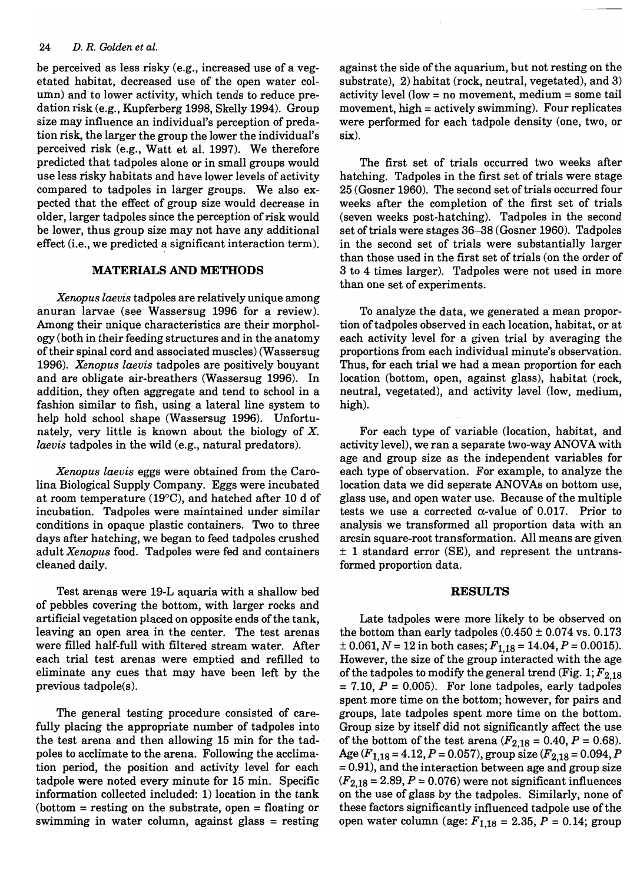#### 24 *D. R. Golden et al.*

be perceived as less risky (e.g., increased use of a vegetated habitat, decreased use of the open water column) and to lower activity, which tends to reduce predation risk (e.g., Kupferberg 1998, Skelly 1994). Group size may influence an individual's perception of predation risk, the larger the group the lower the individual's perceived risk (e.g., Watt et al. 1997). We therefore predicted that tadpoles alone or in small groups would use less risky habitats and have lower levels of activity compared to tadpoles in larger groups. We also expected that the effect of group size would decrease in older, larger tadpoles since the perception of risk would be lower, thus group size may not have any additional effect (i.e., we predicted a significant interaction term).

#### **MATERIALS AND METHODS**

*Xerwpus laevis* tadpoles are relatively unique among anuran larvae (see Wassersug 1996 for a review). Among their unique characteristics are their morphology (both in their feeding structures and in the anatomy of their spinal cord and associated muscles) (Wassersug *1996). Xenopus laevis* tadpoles are positively bouyant and are obligate air-breathers (Wassersug 1996). In addition, they often aggregate and tend to school in a fashion similar to fish, using a lateral line system to help hold school shape (Wassersug 1996). Unfortunately, very little is known about the biology of X. *laevis* tadpoles in the wild (e.g., natural predators).

*Xenopus laevis* eggs were obtained from the Carolina Biological Supply Company. Eggs were incubated at room temperature (19°C), and hatched after 10 d of incubation. Tadpoles were maintained under similar conditions in opaque plastic containers. Two to three days after hatching, we began to feed tadpoles crushed adult *Xenopus* food. Tadpoles were fed and containers cleaned daily.

Test arenas were 19-L aquaria with a shallow bed of pebbles covering the bottom, with larger rocks and artificial vegetation placed on opposite ends of the tank, leaving an open area in the center. The test arenas were filled half-full with filtered stream water. After each trial test arenas were emptied and refilled to eliminate any cues that may have been left by the previous tadpole(s).

The general testing procedure consisted of carefully placing the appropriate number of tadpoles into the test arena and then allowing 15 min for the tadpoles to acclimate to the arena. Following the acclimation period, the position and activity level for each tadpole were noted every minute for 15 min. Specific information collected included: 1) location in the tank  $(\text{bottom} = \text{ resting on the substrate, open} = \text{floating or})$ swimming in water column, against glass = resting against the side of the aquarium, but not resting on the substrate), 2) habitat (rock, neutral, vegetated), and 3) activity level (low = no movement, medium = some tail movement, high = actively swimming). Four replicates were performed for each tadpole density (one, two, or six).

The first set of trials occurred two weeks after hatching. Tadpoles in the first set of trials were stage 25 (Gosner 1960). The second set of trials occurred four weeks after the completion of the first set of trials (seven weeks post-hatching). Tadpoles in the second set of trials were stages 36-38 (Gosner 1960). Tadpoles in the second set of trials were substantially larger than those used in the first set of trials (on the order of 3 to 4 times larger). Tadpoles were not used in more than one set of experiments.

To analyze the data, we generated a mean proportion of tadpoles observed in each location, habitat, or at each activity level for a given trial by averaging the proportions from each individual minute's observation. Thus, for each trial we had a mean proportion for each location (bottom, open, against glass), habitat (rock, neutral, vegetated), and activity level (low, medium, high).

For each type of variable (location, habitat, and activity level), we ran a separate two-way ANOVA with age and group size as the independent variables for each type of observation. For example, to analyze the location data we did separate ANOVAs on bottom use, glass use, and open water use. Because of the multiple tests we use a corrected  $\alpha$ -value of 0.017. Prior to analysis we transformed all proportion data with an arcsin square-root transformation. All means are given  $\pm$  1 standard error (SE), and represent the untransformed proportion data.

#### **RESULTS**

Late tadpoles were more likely to be observed on the bottom than early tadpoles  $(0.450 \pm 0.074 \text{ vs. } 0.173)$  $\pm$  0.061, *N* = 12 in both cases;  $F_{1.18}$  = 14.04, *P* = 0.0015). However, the size of the group interacted with the age of the tadpoles to modify the general trend (Fig.  $1; F_{2,18}$ )  $= 7.10, P = 0.005$ . For lone tadpoles, early tadpoles spent more time on the bottom; however, for pairs and groups, late tadpoles spent more time on the bottom. Group size by itself did not significantly affect the use of the bottom of the test arena  $(F_{2,18} = 0.40, P = 0.68)$ . Age  $(F_{1,18} = 4.12, P = 0.057)$ , group size  $(F_{2,18} = 0.094, P)$  $= 0.91$ ), and the interaction between age and group size  $(F_{2,18} = 2.89, P = 0.076)$  were not significant influences on the use of glass by the tadpoles. Similarly, none of these factors significantly influenced tadpole use of the open water column (age: *F1,18* = 2.35, *P* = 0.14; group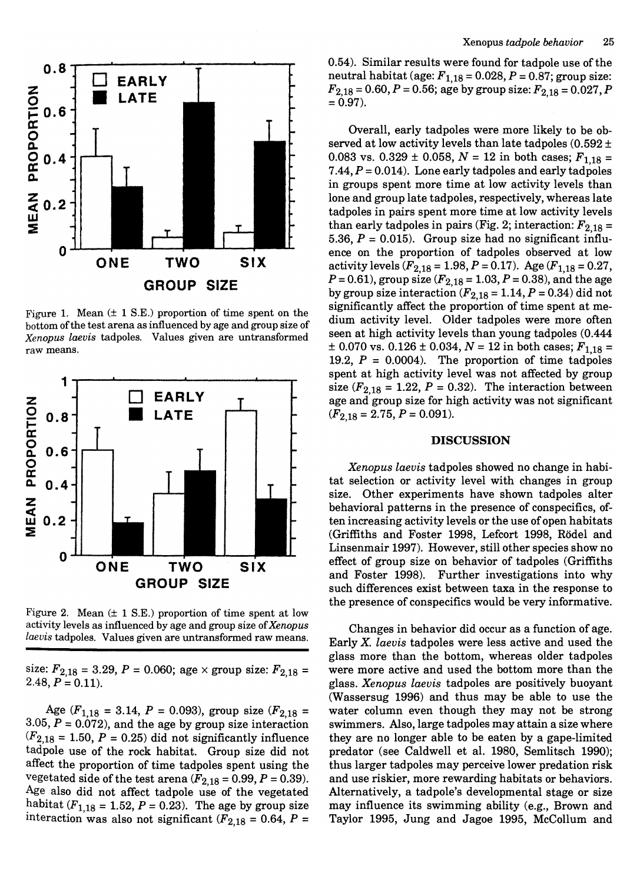

Figure 1. Mean  $(\pm 1 \text{ S.E.})$  proportion of time spent on the bottom of the test arena as influenced by age and group size of *Xenopus laevis* tadpoles. Values given are untransformed raw means.



Figure 2. Mean  $(\pm 1 \text{ S.E.})$  proportion of time spent at low activity levels as influenced by age and group size of *Xenopus laevis* tadpoles. Values given are untransformed raw means.

size:  $F_{2,18} = 3.29$ ,  $P = 0.060$ ; age  $\times$  group size:  $F_{2,18} =$  $2.48, P = 0.11$ .

Age  $(F_{1,18} = 3.14, P = 0.093)$ , group size  $(F_{2,18} =$  $3.05, P = 0.072$ , and the age by group size interaction  $(F_{2,18} = 1.50, P = 0.25)$  did not significantly influence tadpole use of the rock habitat. Group size did not affect the proportion of time tadpoles spent using the vegetated side of the test arena  $(F_{2,18} = 0.99, P = 0.39)$ . Age also did not affect tadpole use of the vegetated habitat ( $F_{1,18} = 1.52$ ,  $P = 0.23$ ). The age by group size interaction was also not significant ( $F_{2,18}$  = 0.64, P =

0.54). Similar results were found for tadpole use of the neutral habitat (age:  $F_{1,18} = 0.028$ ,  $P = 0.87$ ; group size:  $F_{2,18} = 0.60, P = 0.56$ ; age by group size:  $F_{2,18} = 0.027, P$  $= 0.97$ ).

Overall, early tadpoles were more likely to be observed at low activity levels than late tadpoles  $(0.592 \pm 1)$ 0.083 vs.  $0.329 \pm 0.058$ ,  $N = 12$  in both cases;  $F_{1,18} =$ 7.44,  $P = 0.014$ ). Lone early tadpoles and early tadpoles in groups spent more time at low activity levels than lone and group late tadpoles, respectively, whereas late tadpoles in pairs spent more time at low activity levels than early tadpoles in pairs (Fig. 2; interaction:  $F_{2,18} =$ 5.36,  $P = 0.015$ . Group size had no significant influence on the proportion of tadpoles observed at low activity levels  $(F_{2,18} = 1.98, P = 0.17)$ . Age  $(F_{1,18} = 0.27,$  $P = 0.61$ , group size ( $F_{2,18} = 1.03$ ,  $P = 0.38$ ), and the age by group size interaction  $(F_{2,18} = 1.14, P = 0.34)$  did not significantly affect the proportion of time spent at medium activity level. Older tadpoles were more often seen at high activity levels than young tadpoles (0.444  $\pm$  0.070 vs. 0.126  $\pm$  0.034, *N* = 12 in both cases;  $F_{1,18}$  = 19.2,  $P = 0.0004$ . The proportion of time tadpoles spent at high activity level was not affected by group size  $(F_{2,18} = 1.22, P = 0.32)$ . The interaction between age and' group size for high activity was not significant  $(F_{2,18} = 2.75, P = 0.091).$ 

#### **DISCUSSION**

*Xenopus laevis* tadpoles showed no change in habitat selection or activity level with changes in group size. Other experiments have shown tadpoles alter behavioral patterns in the presence of conspecifics, often increasing activity levels or the use of open habitats (Griffiths and Foster 1998, Lefcort 1998, Rödel and Linsenmair 1997). However, still other species show no effect of group size on behavior of tadpoles (Griffiths and Foster 1998). Further investigations into why such differences exist between taxa in the response to the presence of conspecifics would be very informative.

Changes in behavior did occur as a function of age. Early X. *laevis* tadpoles were less active and used the glass more than the bottom, whereas older tadpoles were more active and used the bottom more than the glass. *Xenopus laevis* tadpoles are positively buoyant (Wassersug 1996) and thus may be able to use the water column even though they may not be strong swimmers. Also, large tadpoles may attain a size where they are no longer able to be eaten by a gape-limited predator (see Caldwell et al. 1980, Semlitsch 1990); thus larger tadpoles may perceive lower predation risk and use riskier, more rewarding habitats or behaviors. Alternatively, a tadpole's developmental stage or size may influence its swimming ability (e.g., Brown and Taylor 1995, Jung and Jagoe 1995, McCollum and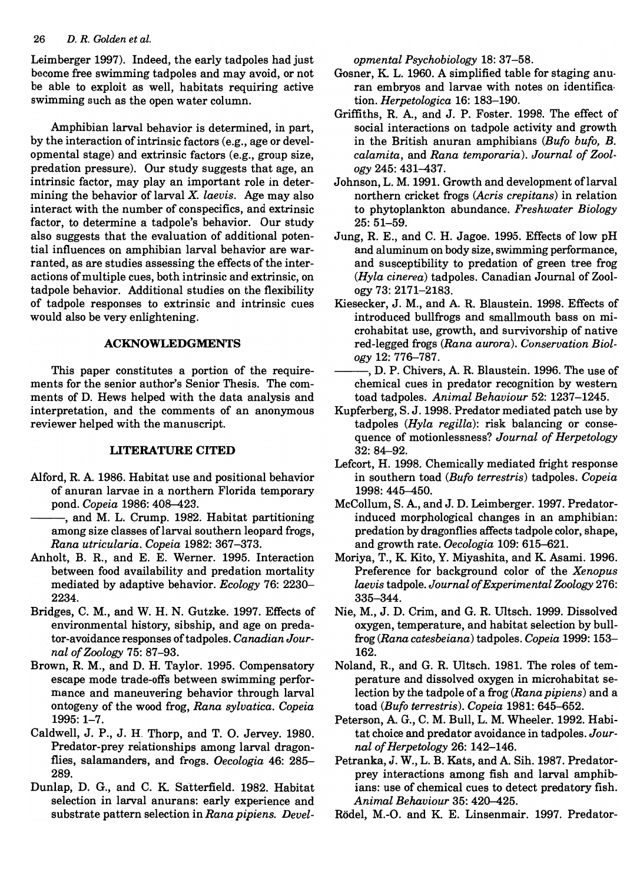#### *26 D. R. Golden et al.*

Leimberger 1997). Indeed, the early tadpoles had just become free swimming tadpoles and may avoid, or not be able to exploit as well, habitats requiring active swimming such as the open water column.

Amphibian larval behavior is determined, in part, by the interaction of intrinsic factors (e.g., age or developmental stage) and extrinsic factors (e.g., group size, predation pressure). Our study suggests that age, an intrinsic factor, may play an important role in determining the behavior of larval X. *laevis.* Age may also interact with the number of conspecifics, and extrinsic factor, to determine a tadpole's behavior. Our study also suggests that the evaluation of additional potential influences on amphibian larval behavior are warranted, as are studies assessing the effects of the interactions of multiple cues, both intrinsic and extrinsic, on tadpole behavior. Additional studies on the flexibility of tadpole responses to extrinsic and intrinsic cues would also be very enlightening.

### **ACKNOWLEDGMENTS**

This paper constitutes a portion of the requirements for the senior author's Senior Thesis. The comments of D. Hews helped with the data analysis and interpretation, and the comments of an anonymous reviewer helped with the manuscript.

## **LITERATURE CITED**

- Alford, R. A. 1986. Habitat use and positional behavior of anuran larvae in a northern Florida temporary pond. *Copeia* 1986: 408-423.
- --, and M. L. Crump. 1982. Habitat partitioning among size classes oflarval southern leopard frogs, *Rana utricularia. Copeia* 1982: 367-373.
- Anholt, B. R, and E. E. Werner. 1995. Interaction between food availability and predation mortality mediated by adaptive behavior. *Ecology* 76: 2230- 2234.
- Bridges, C. M., and W. H. N. Gutzke. 1997. Effects of environmental history, sibship, and age on predator-avoidance responses of tadpoles. *Canadian Journal of Zoology* 75: 87-93.
- Brown, R. M., and D. H. Taylor. 1995. Compensatory escape mode trade-offs between swimming performance and maneuvering behavior through larval ontogeny of the wood frog, *Rana sylvatica. Copeia*  1995: 1-7.
- Caldwell, J. P., J. H. Thorp, and T. O. Jervey. 1980. Predator-prey relationships among larval dragonflies, salamanders, and frogs. *Oecologia* 46: 285- 289.
- Dunlap, D. G., and C. K Satterfield. 1982. Habitat selection in larval anurans: early experience and substrate pattern selection in *Rana pipiens. Devel-*

*opmental Psychobiology* 18: 37-58.

- Gosner, K L. 1960. A simplified table for staging anu· ran embryos and larvae with notes on identifica· tion. *Herpetologica* 16: 183-190.
- Griffiths, R. A., and J. P. Foster. 1998. The effect of social interactions on tadpole activity and growth in the British anuran amphibians *(Bufo bufo, B. calamita,* and *Rana temporaria). Journal of Zoology* 245: 431-437.
- Johnson, L. M. 1991. Growth and development of larval northern cricket frogs *(Acris crepitans)* in relation to phytoplankton abundance. *Freshwater Biology*  25: 51-59.
- Jung, R. E., and C. H. Jagoe. 1995. Effects of low pH and aluminum on body size, swimming performance, and susceptibility to predation of green tree frog *(Hyla cinerea)* tadpoles. Canadian Journal of Zoology 73: 2171-2183.
- Kiesecker, J. M., and A. R. Blaustein. 1998. Effects of introduced bullfrogs and smallmouth bass on microhabitat use, growth, and survivorship of native red-legged frogs *(Rana aurora). Conservation Biology* 12: 776-787.
- -, D. P. Chivers, A. R. Blaustein. 1996. The use of chemical cues in predator recognition by western toad tadpoles. *Animal Behaviour* 52: 1237-1245.
- Kupferberg, S. J. 1998. Predator mediated patch use by tadpoles *(Hyla regilla):* risk balancing or consequence of motionlessness? *Journal of Herpetology*  32: 84-92.
- Lefcort, H. 1998. Chemically mediated fright response in southern toad *(Bufo terrestris)* tadpoles. *Copeia*  1998: 445-450.
- McCollum, S. A., and J. D. Leimberger. 1997. Predatorinduced morphological changes in an amphibian: predation by dragonflies affects tadpole color, shape, and growth rate. *Oecologia* 109: 615-621.
- Moriya, T., K Kito, Y. Miyashita, and K Asami. 1996. Preference for background color of the *Xenopus laevis* tadpole. *Journal of Experimental Zoology 276:*  335-344.
- Nie, M., J. D. Crim, and G. R. Ultsch. 1999. Dissolved oxygen, temperature, and habitat selection by bullfrog *(Rana catesbeiana)* tadpoles. *Copeia* 1999: 153- 162.
- Noland, R., and G. R. Ultsch. 1981. The roles of temperature and dissolved oxygen in microhabitat selection by the tadpole of a frog *(Rana pipiens)* and a toad *(Bufo terrestris). Copeia* 1981: 645-652.
- Peterson, A. G., C. M. Bull, L. M. Wheeler. 1992. Habitat choice and predator avoidance in tadpoles. *Journal of Herpetology* 26: 142-146.
- Petranka, J. W., L. B. Kats, and A. Sih. 1987. Predatorprey interactions among fish and larval amphibians: use of chemical cues to detect predatory fish. *Animal Behaviour* 35: 420-425.
- Rödel, M.-O. and K. E. Linsenmair. 1997. Predator-